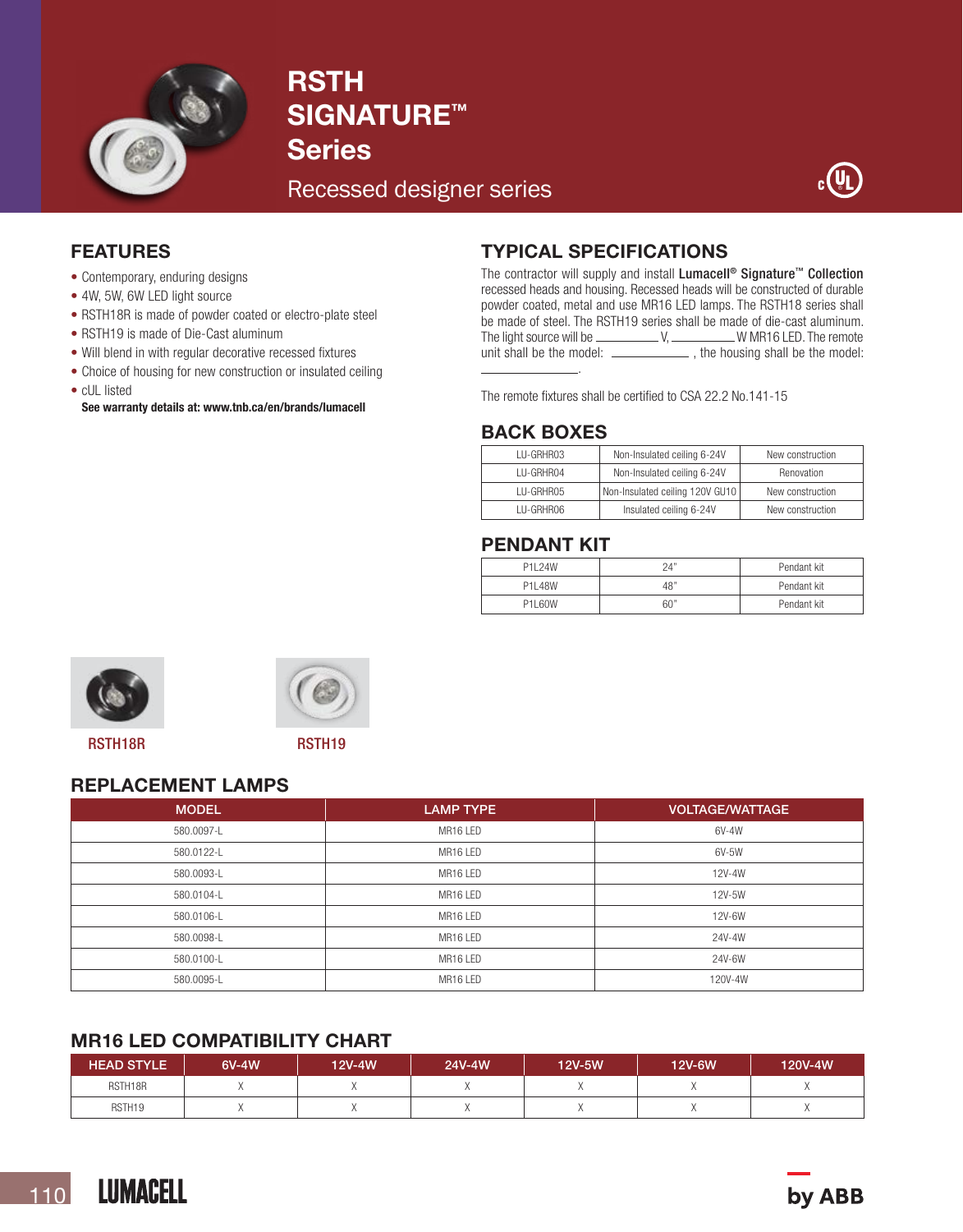

# **RSTH** SIGNATURE<sup>™</sup> Series

Recessed designer series



## FEATURES

- Contemporary, enduring designs
- 4W, 5W, 6W LED light source
- RSTH18R is made of powder coated or electro-plate steel
- RSTH19 is made of Die-Cast aluminum
- Will blend in with regular decorative recessed fixtures
- Choice of housing for new construction or insulated ceiling
- cUL listed

See warranty details at: www.tnb.ca/en/brands/lumacell

# TYPICAL SPECIFICATIONS

The contractor will supply and install Lumacell<sup>®</sup> Signature<sup>™</sup> Collection recessed heads and housing. Recessed heads will be constructed of durable powder coated, metal and use MR16 LED lamps. The RSTH18 series shall be made of steel. The RSTH19 series shall be made of die-cast aluminum. The light source will be V, W MR16 LED. The remote unit shall be the model: \_\_\_\_\_\_\_\_\_\_\_\_\_\_\_, the housing shall be the model: .

The remote fixtures shall be certified to CSA 22.2 No.141-15

#### BACK BOXES

| <b>IU-GRHR03</b> | Non-Insulated ceiling 6-24V     | New construction |  |
|------------------|---------------------------------|------------------|--|
| I U-GRHR04       | Non-Insulated ceiling 6-24V     | Renovation       |  |
| <b>IU-GRHRO5</b> | Non-Insulated ceiling 120V GU10 | New construction |  |
| <b>IU-GRHRO6</b> | Insulated ceiling 6-24V         | New construction |  |

#### PENDANT KIT

| P1I 24W | 24" | Pendant kit |  |
|---------|-----|-------------|--|
| P1I 48W | 48" | Pendant kit |  |
| P1160W  | 60" | Pendant kit |  |



RSTH18R RSTH19



# REPLACEMENT LAMPS

| <b>MODEL</b> | <b>LAMP TYPE</b> | <b>VOLTAGE/WATTAGE</b> |
|--------------|------------------|------------------------|
| 580.0097-L   | MR16 LED         | 6V-4W                  |
| 580.0122-L   | MR16 LED         | 6V-5W                  |
| 580.0093-L   | MR16 LED         | 12V-4W                 |
| 580.0104-L   | MR16 LED         | 12V-5W                 |
| 580.0106-L   | MR16 LED         | 12V-6W                 |
| 580.0098-L   | MR16 LED         | 24V-4W                 |
| 580.0100-L   | MR16 LED         | 24V-6W                 |
| 580.0095-L   | MR16 LED         | 120V-4W                |

# MR16 LED COMPATIBILITY CHART

| <b>HEAD STYLE</b>  | 6V-4W | 12V-4W | 24V-4W | 12V-5W | 12V-6W | 120V-4W |
|--------------------|-------|--------|--------|--------|--------|---------|
| RSTH18R            |       |        |        |        |        |         |
| RSTH <sub>19</sub> |       |        |        |        |        |         |